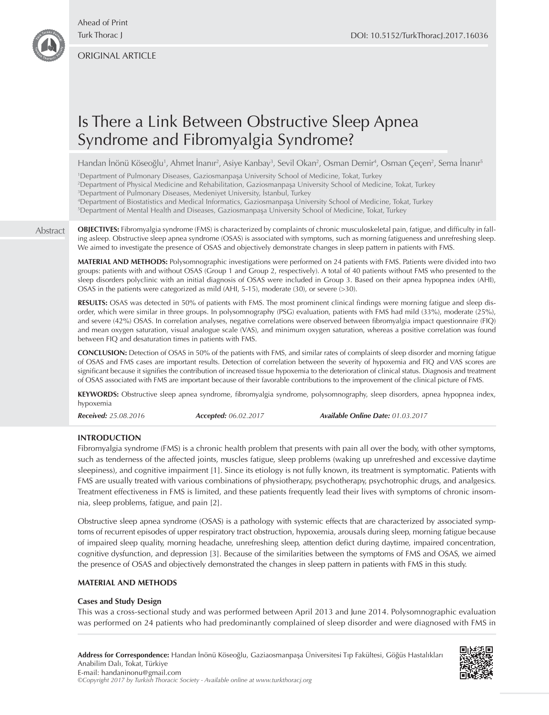ORIGINAL ARTICLE

# Is There a Link Between Obstructive Sleep Apnea Syndrome and Fibromyalgia Syndrome?

Handan Inönü Köseoğlu<sup>1</sup>, Ahmet Inanır<sup>2</sup>, Asiye Kanbay<sup>3</sup>, Sevil Okan<sup>2</sup>, Osman Demir<sup>4</sup>, Osman Çeçen<sup>2</sup>, Sema Inanır<sup>s</sup>

1 Department of Pulmonary Diseases, Gaziosmanpaşa University School of Medicine, Tokat, Turkey

2 Department of Physical Medicine and Rehabilitation, Gaziosmanpaşa University School of Medicine, Tokat, Turkey

3 Department of Pulmonary Diseases, Medeniyet University, İstanbul, Turkey

4 Department of Biostatistics and Medical Informatics, Gaziosmanpaşa University School of Medicine, Tokat, Turkey

5 Department of Mental Health and Diseases, Gaziosmanpaşa University School of Medicine, Tokat, Turkey

Abstract

**OBJECTIVES:** Fibromyalgia syndrome (FMS) is characterized by complaints of chronic musculoskeletal pain, fatigue, and difficulty in falling asleep. Obstructive sleep apnea syndrome (OSAS) is associated with symptoms, such as morning fatigueness and unrefreshing sleep. We aimed to investigate the presence of OSAS and objectively demonstrate changes in sleep pattern in patients with FMS.

**MATERIAL AND METHODS:** Polysomnographic investigations were performed on 24 patients with FMS. Patients were divided into two groups: patients with and without OSAS (Group 1 and Group 2, respectively). A total of 40 patients without FMS who presented to the sleep disorders polyclinic with an initial diagnosis of OSAS were included in Group 3. Based on their apnea hypopnea index (AHI), OSAS in the patients were categorized as mild (AHI, 5-15), moderate (30), or severe (>30).

**RESULTS:** OSAS was detected in 50% of patients with FMS. The most prominent clinical findings were morning fatigue and sleep disorder, which were similar in three groups. In polysomnography (PSG) evaluation, patients with FMS had mild (33%), moderate (25%), and severe (42%) OSAS. In correlation analyses, negative correlations were observed between fibromyalgia impact questionnaire (FIQ) and mean oxygen saturation, visual analogue scale (VAS), and minimum oxygen saturation, whereas a positive correlation was found between FIQ and desaturation times in patients with FMS.

**CONCLUSION:** Detection of OSAS in 50% of the patients with FMS, and similar rates of complaints of sleep disorder and morning fatigue of OSAS and FMS cases are important results. Detection of correlation between the severity of hypoxemia and FIQ and VAS scores are significant because it signifies the contribution of increased tissue hypoxemia to the deterioration of clinical status. Diagnosis and treatment of OSAS associated with FMS are important because of their favorable contributions to the improvement of the clinical picture of FMS.

**KEYWORDS:** Obstructive sleep apnea syndrome, fibromyalgia syndrome, polysomnography, sleep disorders, apnea hypopnea index, hypoxemia

*Received: 25.08.2016 Accepted: 06.02.2017 Available Online Date: 01.03.2017*

**INTRODUCTION**

Fibromyalgia syndrome (FMS) is a chronic health problem that presents with pain all over the body, with other symptoms, such as tenderness of the affected joints, muscles fatigue, sleep problems (waking up unrefreshed and excessive daytime sleepiness), and cognitive impairment [1]. Since its etiology is not fully known, its treatment is symptomatic. Patients with FMS are usually treated with various combinations of physiotherapy, psychotherapy, psychotrophic drugs, and analgesics. Treatment effectiveness in FMS is limited, and these patients frequently lead their lives with symptoms of chronic insomnia, sleep problems, fatigue, and pain [2].

Obstructive sleep apnea syndrome (OSAS) is a pathology with systemic effects that are characterized by associated symptoms of recurrent episodes of upper respiratory tract obstruction, hypoxemia, arousals during sleep, morning fatigue because of impaired sleep quality, morning headache, unrefreshing sleep, attention defict during daytime, impaired concentration, cognitive dysfunction, and depression [3]. Because of the similarities between the symptoms of FMS and OSAS, we aimed the presence of OSAS and objectively demonstrated the changes in sleep pattern in patients with FMS in this study.

# **MATERIAL AND METHODS**

## **Cases and Study Design**

This was a cross-sectional study and was performed between April 2013 and June 2014. Polysomnographic evaluation was performed on 24 patients who had predominantly complained of sleep disorder and were diagnosed with FMS in

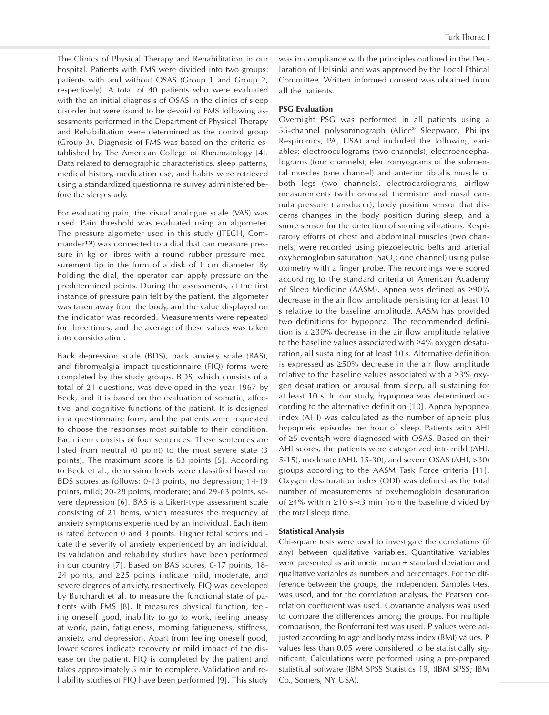The Clinics of Physical Therapy and Rehabilitation in our hospital. Patients with FMS were divided into two groups: patients with and without OSAS (Group 1 and Group 2, respectively). A total of 40 patients who were evaluated with the an initial diagnosis of OSAS in the clinics of sleep disorder but were found to be devoid of FMS following assessments performed in the Department of Physical Therapy and Rehabilitation were determined as the control group (Group 3). Diagnosis of FMS was based on the criteria established by The American College of Rheumatology [4]. Data related to demographic characteristics, sleep patterns, medical history, medication use, and habits were retrieved using a standardized questionnaire survey administered before the sleep study.

For evaluating pain, the visual analogue scale (VAS) was used. Pain threshold was evaluated using an algometer. The pressure algometer used in this study (JTECH, Commander™) was connected to a dial that can measure pressure in kg or libres with a round rubber pressure measurement tip in the form of a disk of 1 cm diameter. By holding the dial, the operator can apply pressure on the predetermined points. During the assessments, at the first instance of pressure pain felt by the patient, the algometer was taken away from the body, and the value displayed on the indicator was recorded. Measurements were repeated for three times, and the average of these values was taken into consideration.

Back depression scale (BDS), back anxiety scale (BAS), and fibromyalgia impact questionnaire (FIQ) forms were completed by the study groups. BDS, which consists of a total of 21 questions, was developed in the year 1967 by Beck, and it is based on the evaluation of somatic, affective, and cognitive functions of the patient. It is designed in a questionnaire form, and the patients were requested to choose the responses most suitable to their condition. Each item consists of four sentences. These sentences are listed from neutral (0 point) to the most severe state (3 points). The maximum score is 63 points [5]. According to Beck et al., depression levels were classified based on BDS scores as follows: 0-13 points, no depression; 14-19 points, mild; 20-28 points, moderate; and 29-63 points, severe depression [6]. BAS is a Likert-type assessment scale consisting of 21 items, which measures the frequency of anxiety symptoms experienced by an individual. Each item is rated between 0 and 3 points. Higher total scores indicate the severity of anxiety experienced by an individual. Its validation and reliability studies have been performed in our country [7]. Based on BAS scores, 0-17 points, 18- 24 points, and ≥25 points indicate mild, moderate, and severe degrees of anxiety, respectively. FIQ was developed by Burchardt et al. to measure the functional state of patients with FMS [8]. It measures physical function, feeling oneself good, inability to go to work, feeling uneasy at work, pain, fatigueness, morning fatigueness, stiffness, anxiety, and depression. Apart from feeling oneself good, lower scores indicate recovery or mild impact of the disease on the patient. FIQ is completed by the patient and takes approximately 5 min to complete. Validation and reliability studies of FIQ have been performed [9]. This study was in compliance with the principles outlined in the Declaration of Helsinki and was approved by the Local Ethical Committee. Written informed consent was obtained from all the patients.

### **PSG Evaluation**

Overnight PSG was performed in all patients using a 55-channel polysomnograph (Alice® Sleepware, Philips Respironics, PA, USA) and included the following variables: electrooculograms (two channels), electroencephalograms (four channels), electromyograms of the submental muscles (one channel) and anterior tibialis muscle of both legs (two channels), electrocardiograms, airflow measurements (with oronasal thermistor and nasal cannula pressure transducer), body position sensor that discerns changes in the body position during sleep, and a snore sensor for the detection of snoring vibrations. Respiratory efforts of chest and abdominal muscles (two channels) were recorded using piezoelectric belts and arterial oxyhemoglobin saturation (SaO<sub>2</sub>: one channel) using pulse oximetry with a finger probe. The recordings were scored according to the standard criteria of American Academy of Sleep Medicine (AASM). Apnea was defined as ≥90% decrease in the air flow amplitude persisting for at least 10 s relative to the baseline amplitude. AASM has provided two definitions for hypopnea. The recommended definition is a ≥30% decrease in the air flow amplitude relative to the baseline values associated with ≥4% oxygen desaturation, all sustaining for at least 10 s. Alternative definition is expressed as ≥50% decrease in the air flow amplitude relative to the baseline values associated with a ≥3% oxygen desaturation or arousal from sleep, all sustaining for at least 10 s. In our study, hypopnea was determined according to the alternative definition [10]. Apnea hypopnea index (AHI) was calculated as the number of apneic plus hypopneic episodes per hour of sleep. Patients with AHI of ≥5 events/h were diagnosed with OSAS. Based on their AHI scores, the patients were categorized into mild (AHI, 5-15), moderate (AHI, 15-30), and severe OSAS (AHI, >30) groups according to the AASM Task Force criteria [11]. Oxygen desaturation index (ODI) was defined as the total number of measurements of oxyhemoglobin desaturation of ≥4% within ≥10 s-<3 min from the baseline divided by the total sleep time.

#### **Statistical Analysis**

Chi-square tests were used to investigate the correlations (if any) between qualitative variables. Quantitative variables were presented as arithmetic mean ± standard deviation and qualitative variables as numbers and percentages. For the difference between the groups, the independent Samples t-test was used, and for the correlation analysis, the Pearson correlation coefficient was used. Covariance analysis was used to compare the differences among the groups. For multiple comparison, the Bonferroni test was used. P values were adjusted according to age and body mass index (BMI) values. P values less than 0.05 were considered to be statistically significant. Calculations were performed using a pre-prepared statistical software (IBM SPSS Statistics 19, (IBM SPSS; IBM Co., Somers, NY, USA).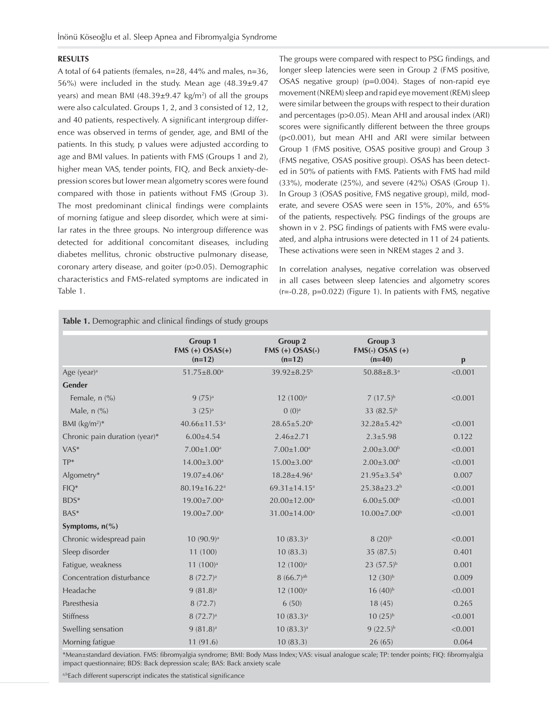### **RESULTS**

A total of 64 patients (females, n=28, 44% and males, n=36, 56%) were included in the study. Mean age (48.39±9.47 years) and mean BMI  $(48.39\pm9.47 \text{ kg/m}^2)$  of all the groups were also calculated. Groups 1, 2, and 3 consisted of 12, 12, and 40 patients, respectively. A significant intergroup difference was observed in terms of gender, age, and BMI of the patients. In this study, p values were adjusted according to age and BMI values. In patients with FMS (Groups 1 and 2), higher mean VAS, tender points, FIQ, and Beck anxiety-depression scores but lower mean algometry scores were found compared with those in patients without FMS (Group 3). The most predominant clinical findings were complaints of morning fatigue and sleep disorder, which were at similar rates in the three groups. No intergroup difference was detected for additional concomitant diseases, including diabetes mellitus, chronic obstructive pulmonary disease, coronary artery disease, and goiter (p>0.05). Demographic characteristics and FMS-related symptoms are indicated in Table 1.

The groups were compared with respect to PSG findings, and longer sleep latencies were seen in Group 2 (FMS positive, OSAS negative group) (p=0.004). Stages of non-rapid eye movement (NREM) sleep and rapid eye movement (REM) sleep were similar between the groups with respect to their duration and percentages (p>0.05). Mean AHI and arousal index (ARI) scores were significantly different between the three groups (p<0.001), but mean AHI and ARI were similar between Group 1 (FMS positive, OSAS positive group) and Group 3 (FMS negative, OSAS positive group). OSAS has been detected in 50% of patients with FMS. Patients with FMS had mild (33%), moderate (25%), and severe (42%) OSAS (Group 1). In Group 3 (OSAS positive, FMS negative group), mild, moderate, and severe OSAS were seen in 15%, 20%, and 65% of the patients, respectively. PSG findings of the groups are shown in v 2. PSG findings of patients with FMS were evaluated, and alpha intrusions were detected in 11 of 24 patients. These activations were seen in NREM stages 2 and 3.

In correlation analyses, negative correlation was observed in all cases between sleep latencies and algometry scores (r=-0.28, p=0.022) (Figure 1). In patients with FMS, negative

|                                      | Group 1<br>$FMS (+) OSAS(+)$ | Group 2<br>$FMS (+) OSAS(-)$   | Group 3<br>$FMS(-)$ OSAS $(+)$ |              |  |  |  |
|--------------------------------------|------------------------------|--------------------------------|--------------------------------|--------------|--|--|--|
|                                      | $(n=12)$                     | $(n=12)$                       | $(n=40)$                       | $\mathbf{p}$ |  |  |  |
| Age (year) $a$                       | $51.75 \pm 8.00^a$           | $39.92 \pm 8.25^{\rm b}$       | $50.88 \pm 8.3$ <sup>a</sup>   | < 0.001      |  |  |  |
| Gender                               |                              |                                |                                |              |  |  |  |
| Female, n (%)                        | $9(75)$ <sup>a</sup>         | 12 (100) <sup>a</sup>          | $7(17.5)^{b}$                  | < 0.001      |  |  |  |
| Male, $n$ $\left(\frac{9}{6}\right)$ | 3(25) <sup>a</sup>           | $0 (0)$ <sup>a</sup>           | 33 $(82.5)^{b}$                |              |  |  |  |
| BMI $(kg/m^2)^*$                     | 40.66±11.53 <sup>a</sup>     | $28.65 \pm 5.20^b$             | $32.28 \pm 5.42^b$             | < 0.001      |  |  |  |
| Chronic pain duration (year)*        | $6.00{\pm}4.54$              | $2.46 \pm 2.71$                | $2.3 \pm 5.98$                 | 0.122        |  |  |  |
| $VAS^*$                              | $7.00 \pm 1.00$ <sup>a</sup> | $7.00 \pm 1.00^a$              | $2.00 \pm 3.00^b$              | < 0.001      |  |  |  |
| TP*                                  | $14.00 \pm 3.00^a$           | $15.00 \pm 3.00^a$             | $2.00 \pm 3.00^b$              | < 0.001      |  |  |  |
| Algometry*                           | $19.07 \pm 4.06^a$           | 18.28±4.96 <sup>a</sup>        | $21.95 \pm 3.54$ <sup>b</sup>  | 0.007        |  |  |  |
| $FIQ*$                               | 80.19±16.22 <sup>a</sup>     | $69.31 \pm 14.15$ <sup>a</sup> | 25.38±23.2 <sup>b</sup>        | < 0.001      |  |  |  |
| BDS*                                 | 19.00±7.00 <sup>a</sup>      | 20.00±12.00 <sup>a</sup>       | $6.00 \pm 5.00$ <sup>b</sup>   | < 0.001      |  |  |  |
| $BAS^*$                              | 19.00±7.00 <sup>a</sup>      | 31.00±14.00 <sup>a</sup>       | $10.00 \pm 7.00^{\rm b}$       | < 0.001      |  |  |  |
| Symptoms, $n\frac{6}{6}$             |                              |                                |                                |              |  |  |  |
| Chronic widespread pain              | 10 (90.9) <sup>a</sup>       | $10(83.3)$ <sup>a</sup>        | $8(20)^{b}$                    | < 0.001      |  |  |  |
| Sleep disorder                       | 11 (100)                     | 10(83.3)                       | 35 (87.5)                      | 0.401        |  |  |  |
| Fatigue, weakness                    | 11(100) <sup>a</sup>         | 12 (100) <sup>a</sup>          | $23(57.5)^{b}$                 | 0.001        |  |  |  |
| Concentration disturbance            | 8(72.7) <sup>a</sup>         | 8(66.7) <sup>ab</sup>          | 12(30) <sup>b</sup>            | 0.009        |  |  |  |
| Headache                             | $9(81.8)^a$                  | 12 (100) <sup>a</sup>          | $16(40)$ <sup>b</sup>          | < 0.001      |  |  |  |
| Paresthesia                          | 8(72.7)                      | 6(50)                          | 18(45)                         | 0.265        |  |  |  |
| Stiffness                            | 8(72.7) <sup>a</sup>         | $10(83.3)$ <sup>a</sup>        | $10(25)^{b}$                   | < 0.001      |  |  |  |
| Swelling sensation                   | $9(81.8)^a$                  | $10(83.3)$ <sup>a</sup>        | $9(22.5)^{b}$                  | < 0.001      |  |  |  |
| Morning fatigue                      | 11 (91.6)                    | 10(83.3)                       | 26(65)                         | 0.064        |  |  |  |
|                                      |                              |                                |                                |              |  |  |  |

\*Mean±standard deviation. FMS: fibromyalgia syndrome; BMI: Body Mass Index; VAS: visual analogue scale; TP: tender points; FIQ: fibromyalgia impact questionnaire; BDS: Back depression scale; BAS: Back anxiety scale

a,bEach different superscript indicates the statistical significance

# **Table 1.** Demographic and clinical findings of study groups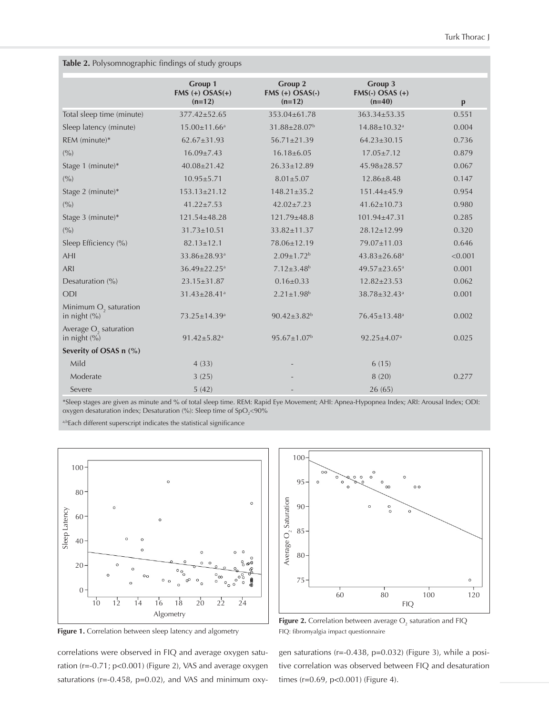|  |  |  | <b>Table 2.</b> Polysomnographic findings of study groups |  |  |  |  |
|--|--|--|-----------------------------------------------------------|--|--|--|--|
|--|--|--|-----------------------------------------------------------|--|--|--|--|

|                                                   | Group 1<br>$FMS (+) OSAS(+)$<br>$(n=12)$ | Group 2<br>$FMS (+) OSAS(-)$<br>$(n=12)$ | Group 3<br>$FMS(-)$ OSAS $(+)$<br>$(n=40)$ | $\mathbf{p}$ |
|---------------------------------------------------|------------------------------------------|------------------------------------------|--------------------------------------------|--------------|
| Total sleep time (minute)                         | 377.42±52.65                             | 353.04±61.78                             | 363.34±53.35                               | 0.551        |
| Sleep latency (minute)                            | $15.00 \pm 11.66^a$                      | 31.88±28.07 <sup>b</sup>                 | 14.88±10.32 <sup>a</sup>                   | 0.004        |
| REM (minute)*                                     | $62.67 \pm 31.93$                        | $56.71 \pm 21.39$                        | $64.23 \pm 30.15$                          | 0.736        |
| (9/0)                                             | $16.09 \pm 7.43$                         | $16.18 \pm 6.05$                         | $17.05 \pm 7.12$                           | 0.879        |
| Stage 1 (minute)*                                 | $40.08 \pm 21.42$                        | $26.33 \pm 12.89$                        | 45.98±28.57                                | 0.067        |
| (9/0)                                             | $10.95 \pm 5.71$                         | $8.01 \pm 5.07$                          | $12.86 \pm 8.48$                           | 0.147        |
| Stage 2 (minute)*                                 | $153.13 \pm 21.12$                       | $148.21 \pm 35.2$                        | 151.44±45.9                                | 0.954        |
| (9/0)                                             | $41.22 \pm 7.53$                         | $42.02 \pm 7.23$                         | $41.62 \pm 10.73$                          | 0.980        |
| Stage 3 (minute)*                                 | 121.54±48.28                             | 121.79±48.8                              | 101.94±47.31                               | 0.285        |
| (9/0)                                             | $31.73 \pm 10.51$                        | 33.82±11.37                              | 28.12±12.99                                | 0.320        |
| Sleep Efficiency (%)                              | $82.13 \pm 12.1$                         | 78.06±12.19                              | 79.07±11.03                                | 0.646        |
| <b>AHI</b>                                        | 33.86±28.93ª                             | $2.09 \pm 1.72$ <sup>b</sup>             | $43.83 \pm 26.68^a$                        | < 0.001      |
| <b>ARI</b>                                        | 36.49±22.25 <sup>a</sup>                 | $7.12 \pm 3.48$ <sup>b</sup>             | 49.57±23.65 <sup>a</sup>                   | 0.001        |
| Desaturation (%)                                  | 23.15±31.87                              | $0.16 \pm 0.33$                          | $12.82 \pm 23.53$                          | 0.062        |
| <b>ODI</b>                                        | 31.43±28.41ª                             | $2.21 \pm 1.98$ <sup>b</sup>             | 38.78±32.43ª                               | 0.001        |
| Minimum O <sub>2</sub> saturation<br>in night (%) | 73.25±14.39 <sup>a</sup>                 | $90.42 \pm 3.82^b$                       | 76.45±13.48 <sup>a</sup>                   | 0.002        |
| Average O <sub>2</sub> saturation<br>in night (%) | $91.42 \pm 5.82$ <sup>a</sup>            | $95.67 \pm 1.07^b$                       | $92.25 \pm 4.07$ <sup>a</sup>              | 0.025        |
| Severity of OSAS n (%)                            |                                          |                                          |                                            |              |
| Mild                                              | 4(33)                                    |                                          | 6(15)                                      |              |
| Moderate                                          | 3(25)                                    |                                          | 8(20)                                      | 0.277        |
| Severe                                            | 5(42)                                    |                                          | 26(65)                                     |              |

\*Sleep stages are given as minute and % of total sleep time. REM: Rapid Eye Movement; AHI: Apnea-Hypopnea Index; ARI: Arousal Index; ODI: oxygen desaturation index; Desaturation (%): Sleep time of SpO<sub>2</sub><90%

a,bEach different superscript indicates the statistical significance



**Figure 1.** Correlation between sleep latency and algometry

correlations were observed in FIQ and average oxygen saturation (r=-0.71; p<0.001) (Figure 2), VAS and average oxygen saturations (r=-0.458, p=0.02), and VAS and minimum oxy-



**Figure 2.** Correlation between average  $O_2$  saturation and FIQ FIQ: fibromyalgia impact questionnaire

gen saturations (r=-0.438, p=0.032) (Figure 3), while a positive correlation was observed between FIQ and desaturation times (r=0.69, p<0.001) (Figure 4).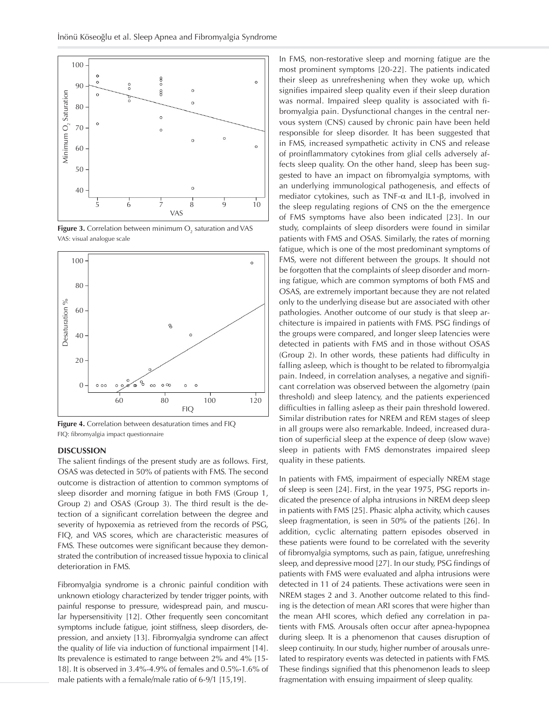

**Figure 3.** Correlation between minimum  $\mathrm{O}_2$  saturation and VAS VAS: visual analogue scale



**Figure 4.** Correlation between desaturation times and FIQ FIQ: fibromyalgia impact questionnaire

# **DISCUSSION**

The salient findings of the present study are as follows. First, OSAS was detected in 50% of patients with FMS. The second outcome is distraction of attention to common symptoms of sleep disorder and morning fatigue in both FMS (Group 1, Group 2) and OSAS (Group 3). The third result is the detection of a significant correlation between the degree and severity of hypoxemia as retrieved from the records of PSG, FIQ, and VAS scores, which are characteristic measures of FMS. These outcomes were significant because they demonstrated the contribution of increased tissue hypoxia to clinical deterioration in FMS.

Fibromyalgia syndrome is a chronic painful condition with unknown etiology characterized by tender trigger points, with painful response to pressure, widespread pain, and muscular hypersensitivity [12]. Other frequently seen concomitant symptoms include fatigue, joint stiffness, sleep disorders, depression, and anxiety [13]. Fibromyalgia syndrome can affect the quality of life via induction of functional impairment [14]. Its prevalence is estimated to range between 2% and 4% [15- 18]. It is observed in 3.4%-4.9% of females and 0.5%-1.6% of male patients with a female/male ratio of 6-9/1 [15,19].

In FMS, non-restorative sleep and morning fatigue are the most prominent symptoms [20-22]. The patients indicated their sleep as unrefreshening when they woke up, which signifies impaired sleep quality even if their sleep duration was normal. Impaired sleep quality is associated with fibromyalgia pain. Dysfunctional changes in the central nervous system (CNS) caused by chronic pain have been held responsible for sleep disorder. It has been suggested that in FMS, increased sympathetic activity in CNS and release of proinflammatory cytokines from glial cells adversely affects sleep quality. On the other hand, sleep has been suggested to have an impact on fibromyalgia symptoms, with an underlying immunological pathogenesis, and effects of mediator cytokines, such as TNF-α and IL1-β, involved in the sleep regulating regions of CNS on the the emergence of FMS symptoms have also been indicated [23]. In our study, complaints of sleep disorders were found in similar patients with FMS and OSAS. Similarly, the rates of morning fatigue, which is one of the most predominant symptoms of FMS, were not different between the groups. It should not be forgotten that the complaints of sleep disorder and morning fatigue, which are common symptoms of both FMS and OSAS, are extremely important because they are not related only to the underlying disease but are associated with other pathologies. Another outcome of our study is that sleep architecture is impaired in patients with FMS. PSG findings of the groups were compared, and longer sleep latencies were detected in patients with FMS and in those without OSAS (Group 2). In other words, these patients had difficulty in falling asleep, which is thought to be related to fibromyalgia pain. Indeed, in correlation analyses, a negative and significant correlation was observed between the algometry (pain threshold) and sleep latency, and the patients experienced difficulties in falling asleep as their pain threshold lowered. Similar distribution rates for NREM and REM stages of sleep in all groups were also remarkable. Indeed, increased duration of superficial sleep at the expence of deep (slow wave) sleep in patients with FMS demonstrates impaired sleep quality in these patients.

In patients with FMS, impairment of especially NREM stage of sleep is seen [24]. First, in the year 1975, PSG reports indicated the presence of alpha intrusions in NREM deep sleep in patients with FMS [25]. Phasic alpha activity, which causes sleep fragmentation, is seen in 50% of the patients [26]. In addition, cyclic alternating pattern episodes observed in these patients were found to be correlated with the severity of fibromyalgia symptoms, such as pain, fatigue, unrefreshing sleep, and depressive mood [27]. In our study, PSG findings of patients with FMS were evaluated and alpha intrusions were detected in 11 of 24 patients. These activations were seen in NREM stages 2 and 3. Another outcome related to this finding is the detection of mean ARI scores that were higher than the mean AHI scores, which defied any correlation in patients with FMS. Arousals often occur after apnea-hypopnea during sleep. It is a phenomenon that causes disruption of sleep continuity. In our study, higher number of arousals unrelated to respiratory events was detected in patients with FMS. These findings signified that this phenomenon leads to sleep fragmentation with ensuing impairment of sleep quality.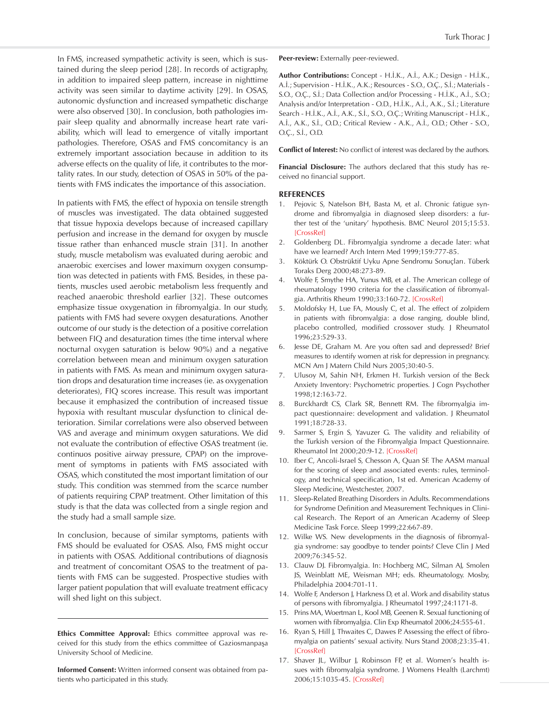In FMS, increased sympathetic activity is seen, which is sustained during the sleep period [28]. In records of actigraphy, in addition to impaired sleep pattern, increase in nighttime activity was seen similar to daytime activity [29]. In OSAS, autonomic dysfunction and increased sympathetic discharge were also observed [30]. In conclusion, both pathologies impair sleep quality and abnormally increase heart rate variability, which will lead to emergence of vitally important pathologies. Therefore, OSAS and FMS concomitancy is an extremely important association because in addition to its adverse effects on the quality of life, it contributes to the mortality rates. In our study, detection of OSAS in 50% of the patients with FMS indicates the importance of this association.

In patients with FMS, the effect of hypoxia on tensile strength of muscles was investigated. The data obtained suggested that tissue hypoxia develops because of increased capillary perfusion and increase in the demand for oxygen by muscle tissue rather than enhanced muscle strain [31]. In another study, muscle metabolism was evaluated during aerobic and anaerobic exercises and lower maximum oxygen consumption was detected in patients with FMS. Besides, in these patients, muscles used aerobic metabolism less frequently and reached anaerobic threshold earlier [32]. These outcomes emphasize tissue oxygenation in fibromyalgia. In our study, patients with FMS had severe oxygen desaturations. Another outcome of our study is the detection of a positive correlation between FIQ and desaturation times (the time interval where nocturnal oxygen saturation is below 90%) and a negative correlation between mean and minimum oxygen saturation in patients with FMS. As mean and minimum oxygen saturation drops and desaturation time increases (ie. as oxygenation deteriorates), FIQ scores increase. This result was important because it emphasized the contribution of increased tissue hypoxia with resultant muscular dysfunction to clinical deterioration. Similar correlations were also observed between VAS and average and minimum oxygen saturations. We did not evaluate the contribution of effective OSAS treatment (ie. continuos positive airway pressure, CPAP) on the improvement of symptoms in patients with FMS associated with OSAS, which constituted the most important limitation of our study. This condition was stemmed from the scarce number of patients requiring CPAP treatment. Other limitation of this study is that the data was collected from a single region and the study had a small sample size.

In conclusion, because of similar symptoms, patients with FMS should be evaluated for OSAS. Also, FMS might occur in patients with OSAS. Additional contributions of diagnosis and treatment of concomitant OSAS to the treatment of patients with FMS can be suggested. Prospective studies with larger patient population that will evaluate treatment efficacy will shed light on this subject.

**Ethics Committee Approval:** Ethics committee approval was received for this study from the ethics committee of Gaziosmanpaşa University School of Medicine.

**Informed Consent:** Written informed consent was obtained from patients who participated in this study.

**Peer-review:** Externally peer-reviewed.

**Author Contributions:** Concept - H.İ.K., A.İ., A.K.; Design - H.İ.K., A.İ.; Supervision - H.İ.K., A.K.; Resources - S.O., O.Ç., S.İ.; Materials - S.O., O.Ç., S.İ.; Data Collection and/or Processing - H.İ.K., A.İ., S.O.; Analysis and/or Interpretation - O.D., H.İ.K., A.İ., A.K., S.İ.; Literature Search - H.İ.K., A.İ., A.K., S.İ., S.O., O.Ç.; Writing Manuscript - H.İ.K., A.İ., A.K., S.İ., O.D.; Critical Review - A.K., A.İ., O.D.; Other - S.O., O.Ç., S.İ., O.D.

**Conflict of Interest:** No conflict of interest was declared by the authors.

**Financial Disclosure:** The authors declared that this study has received no financial support.

#### **REFERENCES**

- 1. Pejovic S, Natelson BH, Basta M, et al. Chronic fatigue syndrome and fibromyalgia in diagnosed sleep disorders: a further test of the 'unitary' hypothesis. BMC Neurol 2015;15:53. [\[CrossRef](https://doi.org/10.1186/s12883-015-0308-2)]
- 2. Goldenberg DL. Fibromyalgia syndrome a decade later: what have we learned? Arch Intern Med 1999;159:777-85.
- 3. Köktürk O. Obstrüktif Uyku Apne Sendromu Sonuçları. Tüberk Toraks Derg 2000;48:273-89.
- 4. Wolfe F, Smythe HA, Yunus MB, et al. The American college of rheumatology 1990 criteria for the classification of fibromyalgia. Arthritis Rheum 1990;33:160-72. [\[CrossRef\]](https://doi.org/10.1002/art.1780330203)
- 5. Moldofsky H, Lue FA, Mously C, et al. The effect of zolpidem in patients with fibromyalgia: a dose ranging, double blind, placebo controlled, modified crossover study. J Rheumatol 1996;23:529-33.
- 6. Jesse DE, Graham M. Are you often sad and depressed? Brief measures to ıdentify women at risk for depression in pregnancy. MCN Am J Matern Child Nurs 2005;30:40-5.
- 7. Ulusoy M, Sahin NH, Erkmen H. Turkish version of the Beck Anxiety Inventory: Psychometric properties. J Cogn Psychother 1998;12:163-72.
- 8. Burckhardt CS, Clark SR, Bennett RM. The fibromyalgia impact questionnaire: development and validation. J Rheumatol 1991;18:728-33.
- 9. Sarmer S, Ergin S, Yavuzer G. The validity and reliability of the Turkish version of the Fibromyalgia Impact Questionnaire. Rheumatol Int 2000;20:9-12. [[CrossRef](https://doi.org/10.1007/s002960000077)]
- 10. Iber C, Ancoli-Israel S, Chesson A, Quan SF. The AASM manual for the scoring of sleep and associated events: rules, terminology, and technical specification, 1st ed. American Academy of Sleep Medicine, Westchester, 2007.
- 11. Sleep-Related Breathing Disorders in Adults. Recommendations for Syndrome Definition and Measurement Techniques in Clinical Research. The Report of an American Academy of Sleep Medicine Task Force. Sleep 1999;22:667-89.
- 12. Wilke WS. New developments in the diagnosis of fibromyalgia syndrome: say goodbye to tender points? Cleve Clin J Med 2009;76:345-52.
- 13. Clauw DJ. Fibromyalgia. In: Hochberg MC, Silman AJ, Smolen JS, Weinblatt ME, Weisman MH; eds. Rheumatology. Mosby, Philadelphia 2004:701-11.
- 14. Wolfe F, Anderson J, Harkness D, et al. Work and disability status of persons with fibromyalgia. J Rheumatol 1997;24:1171-8.
- 15. Prins MA, Woertman L, Kool MB, Geenen R. Sexual functioning of women with fibromyalgia. Clin Exp Rheumatol 2006;24:555-61.
- 16. Ryan S, Hill J, Thwaites C, Dawes P. Assessing the effect of fibromyalgia on patients' sexual activity. Nurs Stand 2008;23:35-41. [\[CrossRef](https://doi.org/10.7748/ns.23.2.35.s54)]
- 17. Shaver JL, Wilbur J, Robinson FP, et al. Women's health issues with fibromyalgia syndrome. J Womens Health (Larchmt) 2006;15:1035-45. [\[CrossRef](https://doi.org/10.1089/jwh.2006.15.1035)]